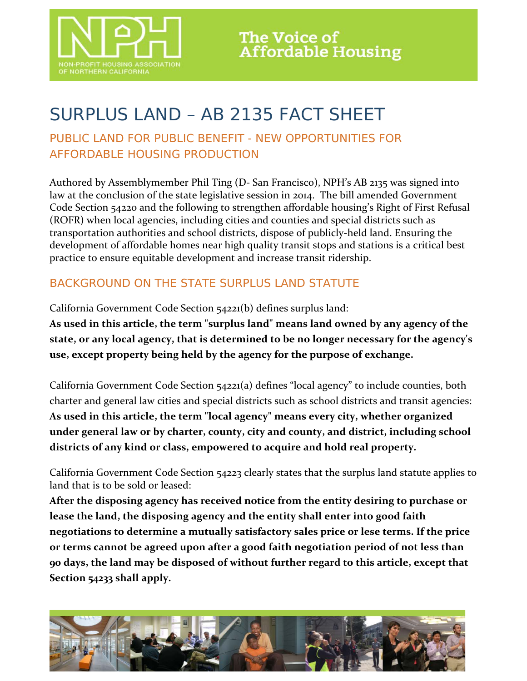

# SURPLUS LAND – AB 2135 FACT SHEET

## PUBLIC LAND FOR PUBLIC BENEFIT - NEW OPPORTUNITIES FOR AFFORDABLE HOUSING PRODUCTION

Authored by Assemblymember Phil Ting (D- San Francisco), NPH's AB 2135 was signed into law at the conclusion of the state legislative session in 2014. The bill amended Government Code Section 54220 and the following to strengthen affordable housing's Right of First Refusal (ROFR) when local agencies, including cities and counties and special districts such as transportation authorities and school districts, dispose of publicly-held land. Ensuring the development of affordable homes near high quality transit stops and stations is a critical best practice to ensure equitable development and increase transit ridership.

## BACKGROUND ON THE STATE SURPLUS LAND STATUTE

California Government Code Section 54221(b) defines surplus land:

**As used in this article, the term "surplus land" means land owned by any agency of the state, or any local agency, that is determined to be no longer necessary for the agency's use, except property being held by the agency for the purpose of exchange.**

California Government Code Section 54221(a) defines "local agency" to include counties, both charter and general law cities and special districts such as school districts and transit agencies: **As used in this article, the term "local agency" means every city, whether organized under general law or by charter, county, city and county, and district, including school districts of any kind or class, empowered to acquire and hold real property.**

California Government Code Section 54223 clearly states that the surplus land statute applies to land that is to be sold or leased:

**After the disposing agency has received notice from the entity desiring to purchase or lease the land, the disposing agency and the entity shall enter into good faith negotiations to determine a mutually satisfactory sales price or lese terms. If the price or terms cannot be agreed upon after a good faith negotiation period of not less than 90 days, the land may be disposed of without further regard to this article, except that Section 54233 shall apply.** 

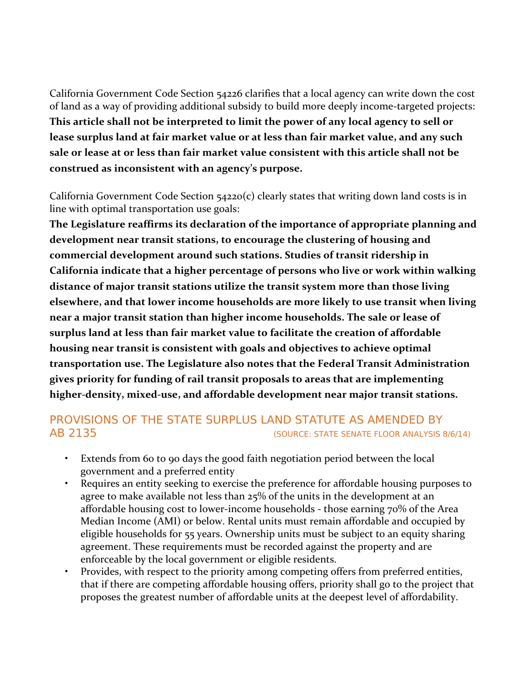California Government Code Section 54226 clarifies that a local agency can write down the cost of land as a way of providing additional subsidy to build more deeply income-targeted projects: **This article shall not be interpreted to limit the power of any local agency to sell or lease surplus land at fair market value or at less than fair market value, and any such sale or lease at or less than fair market value consistent with this article shall not be construed as inconsistent with an agency's purpose.**

California Government Code Section 54220(c) clearly states that writing down land costs is in line with optimal transportation use goals:

**The Legislature reaffirms its declaration of the importance of appropriate planning and development near transit stations, to encourage the clustering of housing and commercial development around such stations. Studies of transit ridership in California indicate that a higher percentage of persons who live or work within walking distance of major transit stations utilize the transit system more than those living elsewhere, and that lower income households are more likely to use transit when living near a major transit station than higher income households. The sale or lease of surplus land at less than fair market value to facilitate the creation of affordable housing near transit is consistent with goals and objectives to achieve optimal transportation use. The Legislature also notes that the Federal Transit Administration gives priority for funding of rail transit proposals to areas that are implementing higher-density, mixed-use, and affordable development near major transit stations.**

#### PROVISIONS OF THE STATE SURPLUS LAND STATUTE AS AMENDED BY AB 2135 (SOURCE: STATE SENATE FLOOR ANALYSIS 8/6/14)

- Extends from 60 to 90 days the good faith negotiation period between the local government and a preferred entity
- Requires an entity seeking to exercise the preference for affordable housing purposes to agree to make available not less than 25% of the units in the development at an affordable housing cost to lower-income households - those earning 70% of the Area Median Income (AMI) or below. Rental units must remain affordable and occupied by eligible households for 55 years. Ownership units must be subject to an equity sharing agreement. These requirements must be recorded against the property and are enforceable by the local government or eligible residents.
- Provides, with respect to the priority among competing offers from preferred entities, that if there are competing affordable housing offers, priority shall go to the project that proposes the greatest number of affordable units at the deepest level of affordability.